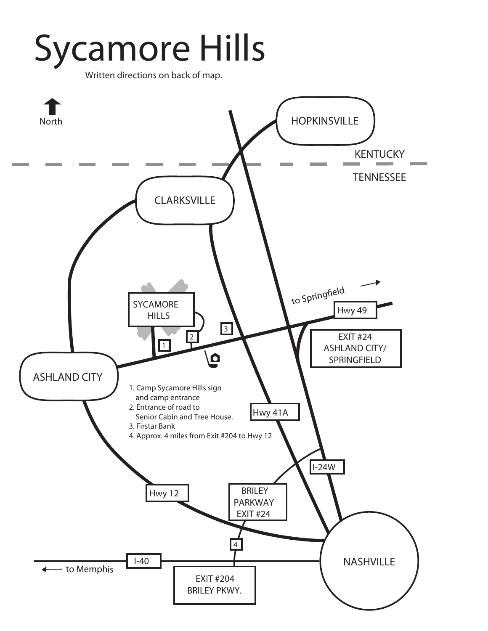# Sycamore Hills

Written directions on back of map.